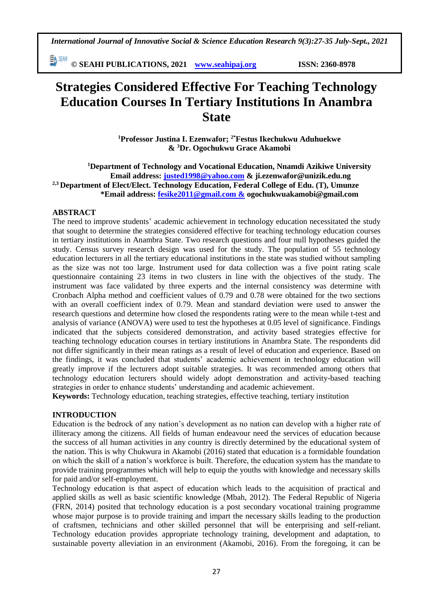EV ZEMI **© SEAHI PUBLICATIONS, 2021 [www.seahipaj.org](http://www.seahipaj.org/) ISSN: 2360-8978**

# **Strategies Considered Effective For Teaching Technology Education Courses In Tertiary Institutions In Anambra State**

**<sup>1</sup>Professor Justina I. Ezenwafor; 2\*Festus Ikechukwu Aduhuekwe & <sup>3</sup>Dr. Ogochukwu Grace Akamobi**

**<sup>1</sup>Department of Technology and Vocational Education, Nnamdi Azikiwe University Email address: [justed1998@yahoo.com](mailto:justed1998@yahoo.com) & ji.ezenwafor@unizik.edu.ng 2,3 Department of Elect/Elect. Technology Education, Federal College of Edu. (T), Umunze \*Email address: [fesike2011@gmail.com &](mailto:fesike2011@gmail.com%20&) ogochukwuakamobi@gmail.com**

#### **ABSTRACT**

The need to improve students' academic achievement in technology education necessitated the study that sought to determine the strategies considered effective for teaching technology education courses in tertiary institutions in Anambra State. Two research questions and four null hypotheses guided the study. Census survey research design was used for the study. The population of 55 technology education lecturers in all the tertiary educational institutions in the state was studied without sampling as the size was not too large. Instrument used for data collection was a five point rating scale questionnaire containing 23 items in two clusters in line with the objectives of the study. The instrument was face validated by three experts and the internal consistency was determine with Cronbach Alpha method and coefficient values of 0.79 and 0.78 were obtained for the two sections with an overall coefficient index of 0.79. Mean and standard deviation were used to answer the research questions and determine how closed the respondents rating were to the mean while t-test and analysis of variance (ANOVA) were used to test the hypotheses at 0.05 level of significance. Findings indicated that the subjects considered demonstration, and activity based strategies effective for teaching technology education courses in tertiary institutions in Anambra State. The respondents did not differ significantly in their mean ratings as a result of level of education and experience. Based on the findings, it was concluded that students' academic achievement in technology education will greatly improve if the lecturers adopt suitable strategies. It was recommended among others that technology education lecturers should widely adopt demonstration and activity-based teaching strategies in order to enhance students' understanding and academic achievement.

**Keywords:** Technology education, teaching strategies, effective teaching, tertiary institution

#### **INTRODUCTION**

Education is the bedrock of any nation's development as no nation can develop with a higher rate of illiteracy among the citizens. All fields of human endeavour need the services of education because the success of all human activities in any country is directly determined by the educational system of the nation. This is why Chukwura in Akamobi (2016) stated that education is a formidable foundation on which the skill of a nation's workforce is built. Therefore, the education system has the mandate to provide training programmes which will help to equip the youths with knowledge and necessary skills for paid and/or self-employment.

Technology education is that aspect of education which leads to the acquisition of practical and applied skills as well as basic scientific knowledge (Mbah, 2012). The Federal Republic of Nigeria (FRN, 2014) posited that technology education is a post secondary vocational training programme whose major purpose is to provide training and impart the necessary skills leading to the production of craftsmen, technicians and other skilled personnel that will be enterprising and self-reliant. Technology education provides appropriate technology training, development and adaptation, to sustainable poverty alleviation in an environment (Akamobi, 2016). From the foregoing, it can be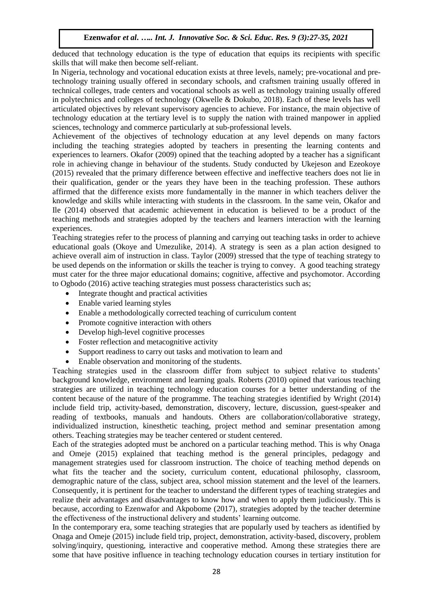deduced that technology education is the type of education that equips its recipients with specific skills that will make then become self-reliant.

In Nigeria, technology and vocational education exists at three levels, namely; pre-vocational and pretechnology training usually offered in secondary schools, and craftsmen training usually offered in technical colleges, trade centers and vocational schools as well as technology training usually offered in polytechnics and colleges of technology (Okwelle & Dokubo, 2018). Each of these levels has well articulated objectives by relevant supervisory agencies to achieve. For instance, the main objective of technology education at the tertiary level is to supply the nation with trained manpower in applied sciences, technology and commerce particularly at sub-professional levels.

Achievement of the objectives of technology education at any level depends on many factors including the teaching strategies adopted by teachers in presenting the learning contents and experiences to learners. Okafor (2009) opined that the teaching adopted by a teacher has a significant role in achieving change in behaviour of the students. Study conducted by Ukejeson and Ezeokoye (2015) revealed that the primary difference between effective and ineffective teachers does not lie in their qualification, gender or the years they have been in the teaching profession. These authors affirmed that the difference exists more fundamentally in the manner in which teachers deliver the knowledge and skills while interacting with students in the classroom. In the same vein, Okafor and Ile (2014) observed that academic achievement in education is believed to be a product of the teaching methods and strategies adopted by the teachers and learners interaction with the learning experiences.

Teaching strategies refer to the process of planning and carrying out teaching tasks in order to achieve educational goals (Okoye and Umezulike, 2014). A strategy is seen as a plan action designed to achieve overall aim of instruction in class. Taylor (2009) stressed that the type of teaching strategy to be used depends on the information or skills the teacher is trying to convey. A good teaching strategy must cater for the three major educational domains; cognitive, affective and psychomotor. According to Ogbodo (2016) active teaching strategies must possess characteristics such as;

- Integrate thought and practical activities
- Enable varied learning styles
- Enable a methodologically corrected teaching of curriculum content
- Promote cognitive interaction with others
- Develop high-level cognitive processes
- Foster reflection and metacognitive activity
- Support readiness to carry out tasks and motivation to learn and
- Enable observation and monitoring of the students.

Teaching strategies used in the classroom differ from subject to subject relative to students' background knowledge, environment and learning goals. Roberts (2010) opined that various teaching strategies are utilized in teaching technology education courses for a better understanding of the content because of the nature of the programme. The teaching strategies identified by Wright (2014) include field trip, activity-based, demonstration, discovery, lecture, discussion, guest-speaker and reading of textbooks, manuals and handouts. Others are collaboration/collaborative strategy, individualized instruction, kinesthetic teaching, project method and seminar presentation among others. Teaching strategies may be teacher centered or student centered.

Each of the strategies adopted must be anchored on a particular teaching method. This is why Onaga and Omeje (2015) explained that teaching method is the general principles, pedagogy and management strategies used for classroom instruction. The choice of teaching method depends on what fits the teacher and the society, curriculum content, educational philosophy, classroom, demographic nature of the class, subject area, school mission statement and the level of the learners. Consequently, it is pertinent for the teacher to understand the different types of teaching strategies and realize their advantages and disadvantages to know how and when to apply them judiciously. This is because, according to Ezenwafor and Akpobome (2017), strategies adopted by the teacher determine the effectiveness of the instructional delivery and students' learning outcome.

In the contemporary era, some teaching strategies that are popularly used by teachers as identified by Onaga and Omeje (2015) include field trip, project, demonstration, activity-based, discovery, problem solving/inquiry, questioning, interactive and cooperative method. Among these strategies there are some that have positive influence in teaching technology education courses in tertiary institution for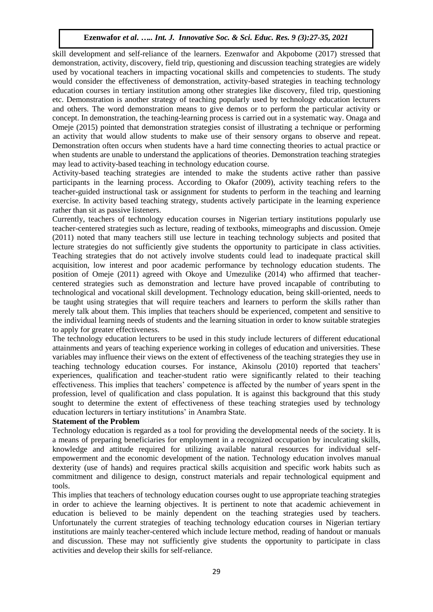skill development and self-reliance of the learners. Ezenwafor and Akpobome (2017) stressed that demonstration, activity, discovery, field trip, questioning and discussion teaching strategies are widely used by vocational teachers in impacting vocational skills and competencies to students. The study would consider the effectiveness of demonstration, activity-based strategies in teaching technology education courses in tertiary institution among other strategies like discovery, filed trip, questioning etc. Demonstration is another strategy of teaching popularly used by technology education lecturers and others. The word demonstration means to give demos or to perform the particular activity or concept. In demonstration, the teaching-learning process is carried out in a systematic way. Onaga and Omeje (2015) pointed that demonstration strategies consist of illustrating a technique or performing an activity that would allow students to make use of their sensory organs to observe and repeat. Demonstration often occurs when students have a hard time connecting theories to actual practice or when students are unable to understand the applications of theories. Demonstration teaching strategies may lead to activity-based teaching in technology education course.

Activity-based teaching strategies are intended to make the students active rather than passive participants in the learning process. According to Okafor (2009), activity teaching refers to the teacher-guided instructional task or assignment for students to perform in the teaching and learning exercise. In activity based teaching strategy, students actively participate in the learning experience rather than sit as passive listeners.

Currently, teachers of technology education courses in Nigerian tertiary institutions popularly use teacher-centered strategies such as lecture, reading of textbooks, mimeographs and discussion. Omeje (2011) noted that many teachers still use lecture in teaching technology subjects and posited that lecture strategies do not sufficiently give students the opportunity to participate in class activities. Teaching strategies that do not actively involve students could lead to inadequate practical skill acquisition, low interest and poor academic performance by technology education students. The position of Omeje (2011) agreed with Okoye and Umezulike (2014) who affirmed that teachercentered strategies such as demonstration and lecture have proved incapable of contributing to technological and vocational skill development. Technology education, being skill-oriented, needs to be taught using strategies that will require teachers and learners to perform the skills rather than merely talk about them. This implies that teachers should be experienced, competent and sensitive to the individual learning needs of students and the learning situation in order to know suitable strategies to apply for greater effectiveness.

The technology education lecturers to be used in this study include lecturers of different educational attainments and years of teaching experience working in colleges of education and universities. These variables may influence their views on the extent of effectiveness of the teaching strategies they use in teaching technology education courses. For instance, Akinsolu (2010) reported that teachers' experiences, qualification and teacher-student ratio were significantly related to their teaching effectiveness. This implies that teachers' competence is affected by the number of years spent in the profession, level of qualification and class population. It is against this background that this study sought to determine the extent of effectiveness of these teaching strategies used by technology education lecturers in tertiary institutions' in Anambra State.

#### **Statement of the Problem**

Technology education is regarded as a tool for providing the developmental needs of the society. It is a means of preparing beneficiaries for employment in a recognized occupation by inculcating skills, knowledge and attitude required for utilizing available natural resources for individual selfempowerment and the economic development of the nation. Technology education involves manual dexterity (use of hands) and requires practical skills acquisition and specific work habits such as commitment and diligence to design, construct materials and repair technological equipment and tools.

This implies that teachers of technology education courses ought to use appropriate teaching strategies in order to achieve the learning objectives. It is pertinent to note that academic achievement in education is believed to be mainly dependent on the teaching strategies used by teachers. Unfortunately the current strategies of teaching technology education courses in Nigerian tertiary institutions are mainly teacher-centered which include lecture method, reading of handout or manuals and discussion. These may not sufficiently give students the opportunity to participate in class activities and develop their skills for self-reliance.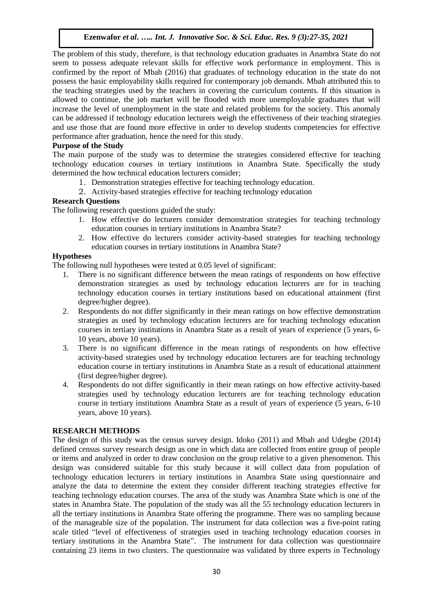The problem of this study, therefore, is that technology education graduates in Anambra State do not seem to possess adequate relevant skills for effective work performance in employment. This is confirmed by the report of Mbah (2016) that graduates of technology education in the state do not possess the basic employability skills required for contemporary job demands. Mbah attributed this to the teaching strategies used by the teachers in covering the curriculum contents. If this situation is allowed to continue, the job market will be flooded with more unemployable graduates that will increase the level of unemployment in the state and related problems for the society. This anomaly can be addressed if technology education lecturers weigh the effectiveness of their teaching strategies and use those that are found more effective in order to develop students competencies for effective performance after graduation, hence the need for this study.

## **Purpose of the Study**

The main purpose of the study was to determine the strategies considered effective for teaching technology education courses in tertiary institutions in Anambra State. Specifically the study determined the how technical education lecturers consider;

- 1. Demonstration strategies effective for teaching technology education.
- 2. Activity-based strategies effective for teaching technology education

## **Research Questions**

The following research questions guided the study:

- 1. How effective do lecturers consider demonstration strategies for teaching technology education courses in tertiary institutions in Anambra State?
- 2. How effective do lecturers consider activity-based strategies for teaching technology education courses in tertiary institutions in Anambra State?

## **Hypotheses**

The following null hypotheses were tested at 0.05 level of significant:

- 1. There is no significant difference between the mean ratings of respondents on how effective demonstration strategies as used by technology education lecturers are for in teaching technology education courses in tertiary institutions based on educational attainment (first degree/higher degree).
- 2. Respondents do not differ significantly in their mean ratings on how effective demonstration strategies as used by technology education lecturers are for teaching technology education courses in tertiary institutions in Anambra State as a result of years of experience (5 years, 6- 10 years, above 10 years).
- 3. There is no significant difference in the mean ratings of respondents on how effective activity-based strategies used by technology education lecturers are for teaching technology education course in tertiary institutions in Anambra State as a result of educational attainment (first degree/higher degree).
- 4. Respondents do not differ significantly in their mean ratings on how effective activity-based strategies used by technology education lecturers are for teaching technology education course in tertiary institutions Anambra State as a result of years of experience (5 years, 6-10 years, above 10 years).

#### **RESEARCH METHODS**

The design of this study was the census survey design. Idoko (2011) and Mbah and Udegbe (2014) defined census survey research design as one in which data are collected from entire group of people or items and analyzed in order to draw conclusion on the group relative to a given phenomenon. This design was considered suitable for this study because it will collect data from population of technology education lecturers in tertiary institutions in Anambra State using questionnaire and analyze the data to determine the extent they consider different teaching strategies effective for teaching technology education courses. The area of the study was Anambra State which is one of the states in Anambra State. The population of the study was all the 55 technology education lecturers in all the tertiary institutions in Anambra State offering the programme. There was no sampling because of the manageable size of the population. The instrument for data collection was a five-point rating scale titled "level of effectiveness of strategies used in teaching technology education courses in tertiary institutions in the Anambra State". The instrument for data collection was questionnaire containing 23 items in two clusters. The questionnaire was validated by three experts in Technology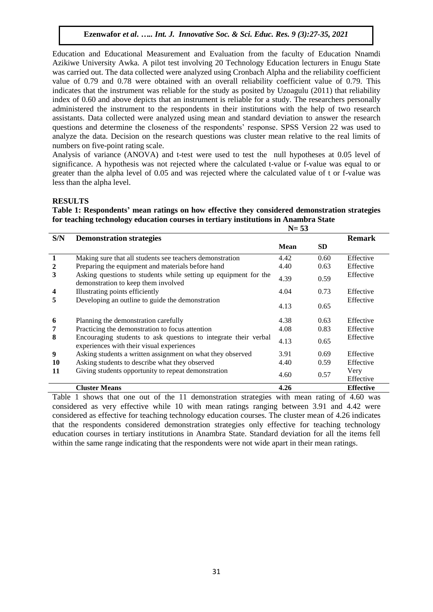Education and Educational Measurement and Evaluation from the faculty of Education Nnamdi Azikiwe University Awka. A pilot test involving 20 Technology Education lecturers in Enugu State was carried out. The data collected were analyzed using Cronbach Alpha and the reliability coefficient value of 0.79 and 0.78 were obtained with an overall reliability coefficient value of 0.79. This indicates that the instrument was reliable for the study as posited by Uzoagulu (2011) that reliability index of 0.60 and above depicts that an instrument is reliable for a study. The researchers personally administered the instrument to the respondents in their institutions with the help of two research assistants. Data collected were analyzed using mean and standard deviation to answer the research questions and determine the closeness of the respondents' response. SPSS Version 22 was used to analyze the data. Decision on the research questions was cluster mean relative to the real limits of numbers on five-point rating scale.

Analysis of variance (ANOVA) and t-test were used to test the null hypotheses at 0.05 level of significance. A hypothesis was not rejected where the calculated t-value or f-value was equal to or greater than the alpha level of 0.05 and was rejected where the calculated value of t or f-value was less than the alpha level.

#### **RESULTS**

**Table 1: Respondents' mean ratings on how effective they considered demonstration strategies for teaching technology education courses in tertiary institutions in Anambra State N= 53**

|                         | $11 - 33$                                                                                                    |             |           |                   |  |  |  |
|-------------------------|--------------------------------------------------------------------------------------------------------------|-------------|-----------|-------------------|--|--|--|
| S/N                     | <b>Demonstration strategies</b>                                                                              |             |           | <b>Remark</b>     |  |  |  |
|                         |                                                                                                              | <b>Mean</b> | <b>SD</b> |                   |  |  |  |
| $\mathbf{1}$            | Making sure that all students see teachers demonstration                                                     | 4.42        | 0.60      | Effective         |  |  |  |
| $\overline{2}$          | Preparing the equipment and materials before hand                                                            | 4.40        | 0.63      | Effective         |  |  |  |
| 3                       | Asking questions to students while setting up equipment for the<br>demonstration to keep them involved       | 4.39        | 0.59      | Effective         |  |  |  |
| $\overline{\mathbf{4}}$ | Illustrating points efficiently                                                                              | 4.04        | 0.73      | Effective         |  |  |  |
| 5                       | Developing an outline to guide the demonstration                                                             | 4.13        | 0.65      | Effective         |  |  |  |
| 6                       | Planning the demonstration carefully                                                                         | 4.38        | 0.63      | Effective         |  |  |  |
| 7                       | Practicing the demonstration to focus attention                                                              | 4.08        | 0.83      | Effective         |  |  |  |
| 8                       | Encouraging students to ask questions to integrate their verbal<br>experiences with their visual experiences | 4.13        | 0.65      | Effective         |  |  |  |
| 9                       | Asking students a written assignment on what they observed                                                   | 3.91        | 0.69      | Effective         |  |  |  |
| 10                      | Asking students to describe what they observed                                                               | 4.40        | 0.59      | Effective         |  |  |  |
| 11                      | Giving students opportunity to repeat demonstration                                                          | 4.60        | 0.57      | Very<br>Effective |  |  |  |
|                         | <b>Cluster Means</b>                                                                                         | 4.26        |           | <b>Effective</b>  |  |  |  |

Table 1 shows that one out of the 11 demonstration strategies with mean rating of 4.60 was considered as very effective while 10 with mean ratings ranging between 3.91 and 4.42 were considered as effective for teaching technology education courses. The cluster mean of 4.26 indicates that the respondents considered demonstration strategies only effective for teaching technology education courses in tertiary institutions in Anambra State. Standard deviation for all the items fell within the same range indicating that the respondents were not wide apart in their mean ratings.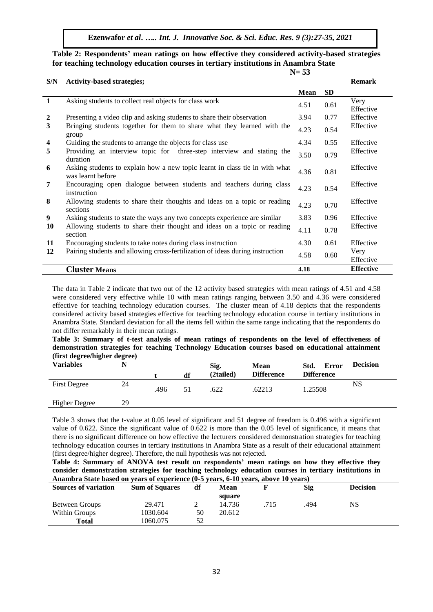**Ezenwafor** *et al***.** *….. Int. J. Innovative Soc. & Sci. Educ. Res. 9 (3):27-35, 2021*

#### **Table 2: Respondents' mean ratings on how effective they considered activity-based strategies for teaching technology education courses in tertiary institutions in Anambra State N= 53**

| S/N            | <b>Activity-based strategies;</b>                                                                |             |           | <b>Remark</b>     |
|----------------|--------------------------------------------------------------------------------------------------|-------------|-----------|-------------------|
|                |                                                                                                  | <b>Mean</b> | <b>SD</b> |                   |
| 1              | Asking students to collect real objects for class work                                           | 4.51        | 0.61      | Very<br>Effective |
| $\overline{2}$ | Presenting a video clip and asking students to share their observation                           | 3.94        | 0.77      | Effective         |
| 3              | Bringing students together for them to share what they learned with the<br>group                 | 4.23        | 0.54      | Effective         |
| 4              | Guiding the students to arrange the objects for class use                                        | 4.34        | 0.55      | Effective         |
| 5              | Providing an interview topic for three-step interview and stating the<br>duration                | 3.50        | 0.79      | Effective         |
| 6              | Asking students to explain how a new topic learnt in class tie in with what<br>was learnt before | 4.36        | 0.81      | Effective         |
| 7              | Encouraging open dialogue between students and teachers during class<br>instruction              | 4.23        | 0.54      | Effective         |
| 8              | Allowing students to share their thoughts and ideas on a topic or reading<br>sections            | 4.23        | 0.70      | Effective         |
| 9              | Asking students to state the ways any two concepts experience are similar                        | 3.83        | 0.96      | Effective         |
| 10             | Allowing students to share their thought and ideas on a topic or reading<br>section              | 4.11        | 0.78      | Effective         |
| 11             | Encouraging students to take notes during class instruction                                      | 4.30        | 0.61      | Effective         |
| 12             | Pairing students and allowing cross-fertilization of ideas during instruction                    | 4.58        | 0.60      | Very<br>Effective |
|                | <b>Cluster Means</b>                                                                             | 4.18        |           | <b>Effective</b>  |

The data in Table 2 indicate that two out of the 12 activity based strategies with mean ratings of 4.51 and 4.58 were considered very effective while 10 with mean ratings ranging between 3.50 and 4.36 were considered effective for teaching technology education courses. The cluster mean of 4.18 depicts that the respondents considered activity based strategies effective for teaching technology education course in tertiary institutions in Anambra State. Standard deviation for all the items fell within the same range indicating that the respondents do not differ remarkably in their mean ratings.

**Table 3: Summary of t-test analysis of mean ratings of respondents on the level of effectiveness of demonstration strategies for teaching Technology Education courses based on educational attainment (first degree/higher degree)**

| $($ mst degree/mgner degree<br><b>Variables</b> |    |      | df | Sig.<br>(2tailed) | <b>Mean</b><br><b>Difference</b> | Std.<br><b>Error</b><br><b>Difference</b> | <b>Decision</b> |
|-------------------------------------------------|----|------|----|-------------------|----------------------------------|-------------------------------------------|-----------------|
| <b>First Degree</b>                             | 24 | .496 | 51 | .622              | .62213                           | 1.25508                                   | NS              |
| <b>Higher Degree</b>                            | 29 |      |    |                   |                                  |                                           |                 |

Table 3 shows that the t-value at 0.05 level of significant and 51 degree of freedom is 0.496 with a significant value of 0.622. Since the significant value of 0.622 is more than the 0.05 level of significance, it means that there is no significant difference on how effective the lecturers considered demonstration strategies for teaching technology education courses in tertiary institutions in Anambra State as a result of their educational attainment (first degree/higher degree). Therefore, the null hypothesis was not rejected.

**Table 4: Summary of ANOVA test result on respondents' mean ratings on how they effective they consider demonstration strategies for teaching technology education courses in tertiary institutions in Anambra State based on years of experience (0-5 years, 6-10 years, above 10 years)**

| THROUGH DRIVE DRIVE ON YOU'D OF CAPCHICHCC (O & YOU'D) O TO YOU'D) ROOTE TO YOU'D) |                       |                   |        |      |     |                 |  |  |  |
|------------------------------------------------------------------------------------|-----------------------|-------------------|--------|------|-----|-----------------|--|--|--|
| <b>Sources of variation</b>                                                        | <b>Sum of Squares</b> | df<br><b>Mean</b> |        |      | Sig | <b>Decision</b> |  |  |  |
|                                                                                    |                       |                   | square |      |     |                 |  |  |  |
| Between Groups                                                                     | 29.471                |                   | 14.736 | .715 | 494 | NS              |  |  |  |
| Within Groups                                                                      | 1030.604              | 50                | 20.612 |      |     |                 |  |  |  |
| <b>Total</b>                                                                       | 1060.075              | 52                |        |      |     |                 |  |  |  |
|                                                                                    |                       |                   |        |      |     |                 |  |  |  |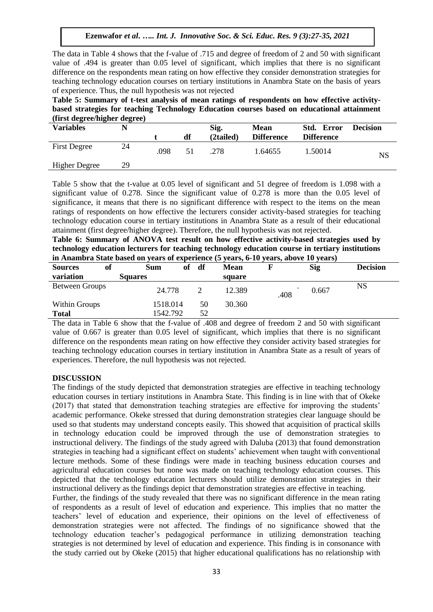The data in Table 4 shows that the f-value of .715 and degree of freedom of 2 and 50 with significant value of .494 is greater than 0.05 level of significant, which implies that there is no significant difference on the respondents mean rating on how effective they consider demonstration strategies for teaching technology education courses on tertiary institutions in Anambra State on the basis of years of experience. Thus, the null hypothesis was not rejected

**Table 5: Summary of t-test analysis of mean ratings of respondents on how effective activitybased strategies for teaching Technology Education courses based on educational attainment (first degree/higher degree)**

| <b>Variables</b>    | N  |      | df | Sig.<br>(2tailed) | <b>Mean</b><br><b>Difference</b> | Std. Error<br><b>Difference</b> | <b>Decision</b> |
|---------------------|----|------|----|-------------------|----------------------------------|---------------------------------|-----------------|
| <b>First Degree</b> | 24 | .098 | 51 | .278              | 1.64655                          | 1.50014                         | NS              |
| Higher Degree       | 29 |      |    |                   |                                  |                                 |                 |
|                     |    |      |    |                   |                                  |                                 |                 |

Table 5 show that the t-value at 0.05 level of significant and 51 degree of freedom is 1.098 with a significant value of 0.278. Since the significant value of 0.278 is more than the 0.05 level of significance, it means that there is no significant difference with respect to the items on the mean ratings of respondents on how effective the lecturers consider activity-based strategies for teaching technology education course in tertiary institutions in Anambra State as a result of their educational attainment (first degree/higher degree). Therefore, the null hypothesis was not rejected.

**Table 6: Summary of ANOVA test result on how effective activity-based strategies used by technology education lecturers for teaching technology education course in tertiary institutions in Anambra State based on years of experience (5 years, 6-10 years, above 10 years)**

| of<br><b>Sources</b>  | Sum            | of       | df | <b>Mean</b> |      | <b>Sig</b> | <b>Decision</b> |
|-----------------------|----------------|----------|----|-------------|------|------------|-----------------|
| variation             | <b>Squares</b> |          |    | square      |      |            |                 |
| <b>Between Groups</b> |                | 24.778   |    | 12.389      | .408 | 0.667      | NS              |
| Within Groups         |                | 1518.014 | 50 | 30.360      |      |            |                 |
| <b>Total</b>          |                | 1542.792 | 52 |             |      |            |                 |

The data in Table 6 show that the f-value of .408 and degree of freedom 2 and 50 with significant value of 0.667 is greater than 0.05 level of significant, which implies that there is no significant difference on the respondents mean rating on how effective they consider activity based strategies for teaching technology education courses in tertiary institution in Anambra State as a result of years of experiences. Therefore, the null hypothesis was not rejected.

#### **DISCUSSION**

The findings of the study depicted that demonstration strategies are effective in teaching technology education courses in tertiary institutions in Anambra State. This finding is in line with that of Okeke (2017) that stated that demonstration teaching strategies are effective for improving the students' academic performance. Okeke stressed that during demonstration strategies clear language should be used so that students may understand concepts easily. This showed that acquisition of practical skills in technology education could be improved through the use of demonstration strategies to instructional delivery. The findings of the study agreed with Daluba (2013) that found demonstration strategies in teaching had a significant effect on students' achievement when taught with conventional lecture methods. Some of these findings were made in teaching business education courses and agricultural education courses but none was made on teaching technology education courses. This depicted that the technology education lecturers should utilize demonstration strategies in their instructional delivery as the findings depict that demonstration strategies are effective in teaching.

Further, the findings of the study revealed that there was no significant difference in the mean rating of respondents as a result of level of education and experience. This implies that no matter the teachers' level of education and experience, their opinions on the level of effectiveness of demonstration strategies were not affected. The findings of no significance showed that the technology education teacher's pedagogical performance in utilizing demonstration teaching strategies is not determined by level of education and experience. This finding is in consonance with the study carried out by Okeke (2015) that higher educational qualifications has no relationship with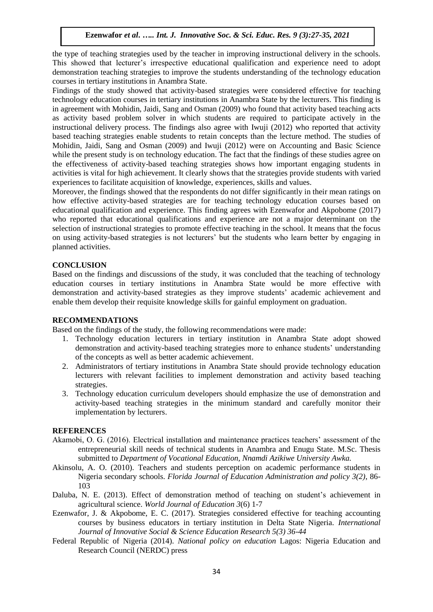the type of teaching strategies used by the teacher in improving instructional delivery in the schools. This showed that lecturer's irrespective educational qualification and experience need to adopt demonstration teaching strategies to improve the students understanding of the technology education courses in tertiary institutions in Anambra State.

Findings of the study showed that activity-based strategies were considered effective for teaching technology education courses in tertiary institutions in Anambra State by the lecturers. This finding is in agreement with Mohidin, Jaidi, Sang and Osman (2009) who found that activity based teaching acts as activity based problem solver in which students are required to participate actively in the instructional delivery process. The findings also agree with Iwuji (2012) who reported that activity based teaching strategies enable students to retain concepts than the lecture method. The studies of Mohidin, Jaidi, Sang and Osman (2009) and Iwuji (2012) were on Accounting and Basic Science while the present study is on technology education. The fact that the findings of these studies agree on the effectiveness of activity-based teaching strategies shows how important engaging students in activities is vital for high achievement. It clearly shows that the strategies provide students with varied experiences to facilitate acquisition of knowledge, experiences, skills and values.

Moreover, the findings showed that the respondents do not differ significantly in their mean ratings on how effective activity-based strategies are for teaching technology education courses based on educational qualification and experience. This finding agrees with Ezenwafor and Akpobome (2017) who reported that educational qualifications and experience are not a major determinant on the selection of instructional strategies to promote effective teaching in the school. It means that the focus on using activity-based strategies is not lecturers' but the students who learn better by engaging in planned activities.

#### **CONCLUSION**

Based on the findings and discussions of the study, it was concluded that the teaching of technology education courses in tertiary institutions in Anambra State would be more effective with demonstration and activity-based strategies as they improve students' academic achievement and enable them develop their requisite knowledge skills for gainful employment on graduation.

#### **RECOMMENDATIONS**

Based on the findings of the study, the following recommendations were made:

- 1. Technology education lecturers in tertiary institution in Anambra State adopt showed demonstration and activity-based teaching strategies more to enhance students' understanding of the concepts as well as better academic achievement.
- 2. Administrators of tertiary institutions in Anambra State should provide technology education lecturers with relevant facilities to implement demonstration and activity based teaching strategies.
- 3. Technology education curriculum developers should emphasize the use of demonstration and activity-based teaching strategies in the minimum standard and carefully monitor their implementation by lecturers.

#### **REFERENCES**

- Akamobi, O. G. (2016). Electrical installation and maintenance practices teachers' assessment of the entrepreneurial skill needs of technical students in Anambra and Enugu State. M.Sc. Thesis submitted to *Department of Vocational Education, Nnamdi Azikiwe University Awka.*
- Akinsolu, A. O. (2010). Teachers and students perception on academic performance students in Nigeria secondary schools. *Florida Journal of Education Administration and policy 3(2)*, 86- 103
- Daluba, N. E. (2013). Effect of demonstration method of teaching on student's achievement in agricultural science. *World Journal of Education 3*(6) 1-7
- Ezenwafor, J. & Akpobome, E. C. (2017). Strategies considered effective for teaching accounting courses by business educators in tertiary institution in Delta State Nigeria. *International Journal of Innovative Social & Science Education Research 5(3) 36-44*
- Federal Republic of Nigeria (2014). *National policy on education* Lagos: Nigeria Education and Research Council (NERDC) press